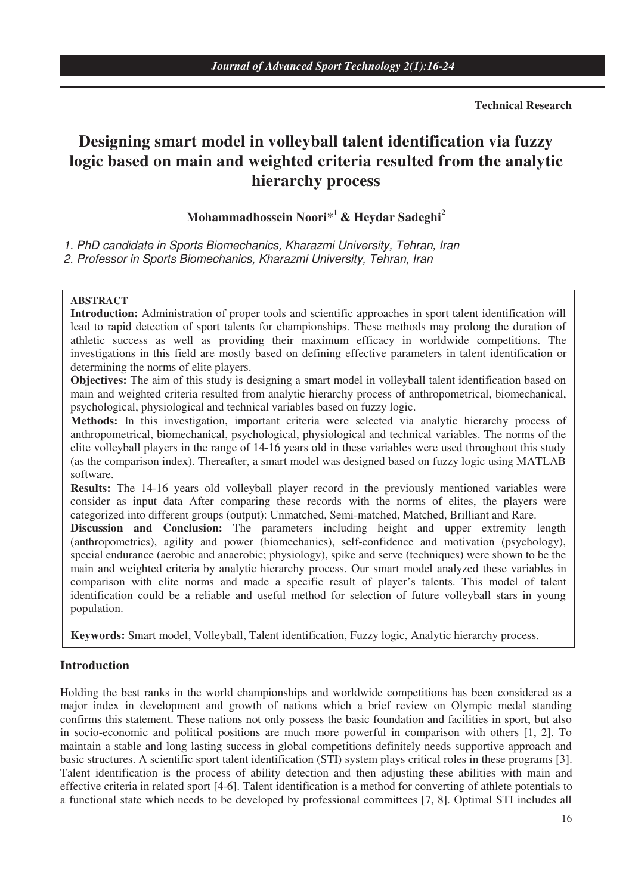#### **Technical Research**

# **Designing smart model in volleyball talent identification via fuzzy logic based on main and weighted criteria resulted from the analytic hierarchy process**

# **Mohammadhossein Noori\*1 & Heydar Sadeghi2**

1. PhD candidate in Sports Biomechanics, Kharazmi University, Tehran, Iran 2. Professor in Sports Biomechanics, Kharazmi University, Tehran, Iran

#### **ABSTRACT**

**Introduction:** Administration of proper tools and scientific approaches in sport talent identification will lead to rapid detection of sport talents for championships. These methods may prolong the duration of athletic success as well as providing their maximum efficacy in worldwide competitions. The investigations in this field are mostly based on defining effective parameters in talent identification or determining the norms of elite players.

**Objectives:** The aim of this study is designing a smart model in volleyball talent identification based on main and weighted criteria resulted from analytic hierarchy process of anthropometrical, biomechanical, psychological, physiological and technical variables based on fuzzy logic.

**Methods:** In this investigation, important criteria were selected via analytic hierarchy process of anthropometrical, biomechanical, psychological, physiological and technical variables. The norms of the elite volleyball players in the range of 14-16 years old in these variables were used throughout this study (as the comparison index). Thereafter, a smart model was designed based on fuzzy logic using MATLAB software.

**Results:** The 14-16 years old volleyball player record in the previously mentioned variables were consider as input data After comparing these records with the norms of elites, the players were categorized into different groups (output): Unmatched, Semi-matched, Matched, Brilliant and Rare.

**Discussion and Conclusion:** The parameters including height and upper extremity length (anthropometrics), agility and power (biomechanics), self-confidence and motivation (psychology), special endurance (aerobic and anaerobic; physiology), spike and serve (techniques) were shown to be the main and weighted criteria by analytic hierarchy process. Our smart model analyzed these variables in comparison with elite norms and made a specific result of player's talents. This model of talent identification could be a reliable and useful method for selection of future volleyball stars in young population.

**Keywords:** Smart model, Volleyball, Talent identification, Fuzzy logic, Analytic hierarchy process.

# **Introduction**

Holding the best ranks in the world championships and worldwide competitions has been considered as a major index in development and growth of nations which a brief review on Olympic medal standing confirms this statement. These nations not only possess the basic foundation and facilities in sport, but also in socio-economic and political positions are much more powerful in comparison with others [1, 2]. To maintain a stable and long lasting success in global competitions definitely needs supportive approach and basic structures. A scientific sport talent identification (STI) system plays critical roles in these programs [3]. Talent identification is the process of ability detection and then adjusting these abilities with main and effective criteria in related sport [4-6]. Talent identification is a method for converting of athlete potentials to a functional state which needs to be developed by professional committees [7, 8]. Optimal STI includes all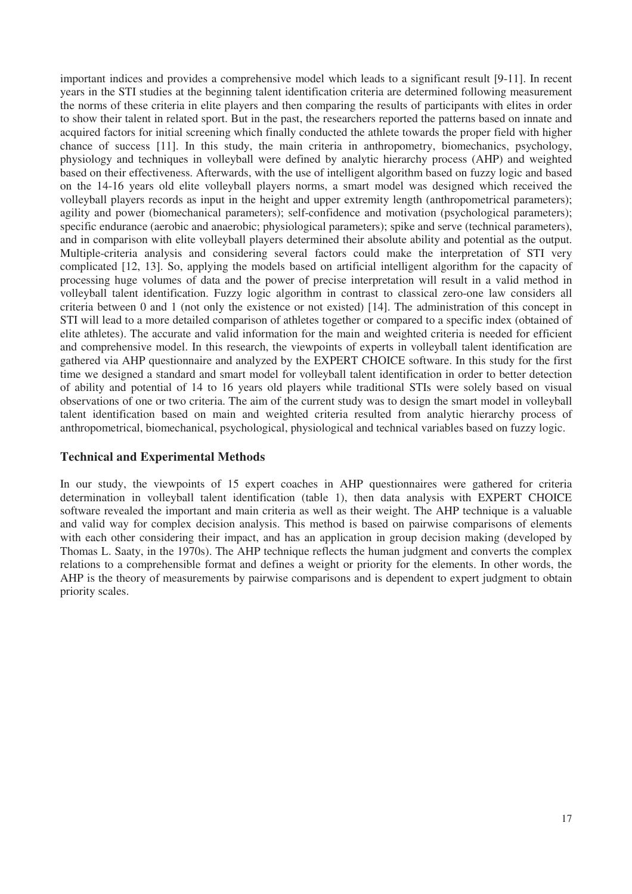important indices and provides a comprehensive model which leads to a significant result [9-11]. In recent years in the STI studies at the beginning talent identification criteria are determined following measurement the norms of these criteria in elite players and then comparing the results of participants with elites in order to show their talent in related sport. But in the past, the researchers reported the patterns based on innate and acquired factors for initial screening which finally conducted the athlete towards the proper field with higher chance of success [11]. In this study, the main criteria in anthropometry, biomechanics, psychology, physiology and techniques in volleyball were defined by analytic hierarchy process (AHP) and weighted based on their effectiveness. Afterwards, with the use of intelligent algorithm based on fuzzy logic and based on the 14-16 years old elite volleyball players norms, a smart model was designed which received the volleyball players records as input in the height and upper extremity length (anthropometrical parameters); agility and power (biomechanical parameters); self-confidence and motivation (psychological parameters); specific endurance (aerobic and anaerobic; physiological parameters); spike and serve (technical parameters), and in comparison with elite volleyball players determined their absolute ability and potential as the output. Multiple-criteria analysis and considering several factors could make the interpretation of STI very complicated [12, 13]. So, applying the models based on artificial intelligent algorithm for the capacity of processing huge volumes of data and the power of precise interpretation will result in a valid method in volleyball talent identification. Fuzzy logic algorithm in contrast to classical zero-one law considers all criteria between 0 and 1 (not only the existence or not existed) [14]. The administration of this concept in STI will lead to a more detailed comparison of athletes together or compared to a specific index (obtained of elite athletes). The accurate and valid information for the main and weighted criteria is needed for efficient and comprehensive model. In this research, the viewpoints of experts in volleyball talent identification are gathered via AHP questionnaire and analyzed by the EXPERT CHOICE software. In this study for the first time we designed a standard and smart model for volleyball talent identification in order to better detection of ability and potential of 14 to 16 years old players while traditional STIs were solely based on visual observations of one or two criteria. The aim of the current study was to design the smart model in volleyball talent identification based on main and weighted criteria resulted from analytic hierarchy process of anthropometrical, biomechanical, psychological, physiological and technical variables based on fuzzy logic.

# **Technical and Experimental Methods**

In our study, the viewpoints of 15 expert coaches in AHP questionnaires were gathered for criteria determination in volleyball talent identification (table 1), then data analysis with EXPERT CHOICE software revealed the important and main criteria as well as their weight. The AHP technique is a valuable and valid way for complex decision analysis. This method is based on pairwise comparisons of elements with each other considering their impact, and has an application in group decision making (developed by Thomas L. Saaty, in the 1970s). The AHP technique reflects the human judgment and converts the complex relations to a comprehensible format and defines a weight or priority for the elements. In other words, the AHP is the theory of measurements by pairwise comparisons and is dependent to expert judgment to obtain priority scales.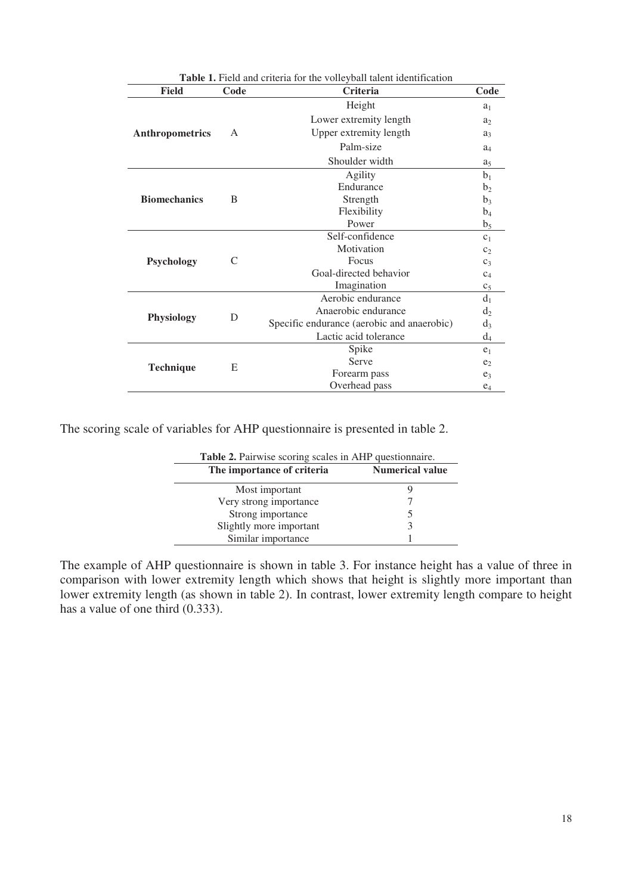| Table 1. Field and criteria for the volleyball talent identification |      |                                            |                |  |  |  |
|----------------------------------------------------------------------|------|--------------------------------------------|----------------|--|--|--|
| <b>Field</b>                                                         | Code | Criteria                                   | Code           |  |  |  |
|                                                                      |      | Height                                     | a <sub>1</sub> |  |  |  |
|                                                                      |      | Lower extremity length                     | a <sub>2</sub> |  |  |  |
| Anthropometrics                                                      | A    | Upper extremity length                     | $a_3$          |  |  |  |
|                                                                      |      | Palm-size                                  | $a_4$          |  |  |  |
|                                                                      |      | Shoulder width                             | a <sub>5</sub> |  |  |  |
|                                                                      |      | Agility                                    | b <sub>1</sub> |  |  |  |
|                                                                      | B    | Endurance                                  | b <sub>2</sub> |  |  |  |
| <b>Biomechanics</b>                                                  |      | Strength                                   | b <sub>3</sub> |  |  |  |
|                                                                      |      | Flexibility                                | $b_4$          |  |  |  |
|                                                                      |      | Power                                      | $b_5$          |  |  |  |
|                                                                      |      | Self-confidence                            | C <sub>1</sub> |  |  |  |
|                                                                      | C    | Motivation                                 | C <sub>2</sub> |  |  |  |
| Psychology                                                           |      | Focus                                      | $C_3$          |  |  |  |
|                                                                      |      | Goal-directed behavior                     | $C_4$          |  |  |  |
|                                                                      |      | Imagination                                | c <sub>5</sub> |  |  |  |
|                                                                      |      | Aerobic endurance                          | d <sub>1</sub> |  |  |  |
|                                                                      | D    | Anaerobic endurance                        | $d_2$          |  |  |  |
| <b>Physiology</b>                                                    |      | Specific endurance (aerobic and anaerobic) | $d_3$          |  |  |  |
|                                                                      |      | Lactic acid tolerance                      | $d_4$          |  |  |  |
|                                                                      |      | Spike                                      | e <sub>1</sub> |  |  |  |
|                                                                      |      | Serve                                      | e <sub>2</sub> |  |  |  |
| <b>Technique</b>                                                     | E    | Forearm pass                               | $e_3$          |  |  |  |
|                                                                      |      | Overhead pass                              |                |  |  |  |

The scoring scale of variables for AHP questionnaire is presented in table 2.

| Table 2. Pairwise scoring scales in AHP questionnaire. |                        |  |  |  |  |  |
|--------------------------------------------------------|------------------------|--|--|--|--|--|
| The importance of criteria                             | <b>Numerical value</b> |  |  |  |  |  |
| Most important                                         |                        |  |  |  |  |  |
| Very strong importance                                 |                        |  |  |  |  |  |
| Strong importance                                      |                        |  |  |  |  |  |
| Slightly more important                                |                        |  |  |  |  |  |
| Similar importance                                     |                        |  |  |  |  |  |

The example of AHP questionnaire is shown in table 3. For instance height has a value of three in comparison with lower extremity length which shows that height is slightly more important than lower extremity length (as shown in table 2). In contrast, lower extremity length compare to height has a value of one third (0.333).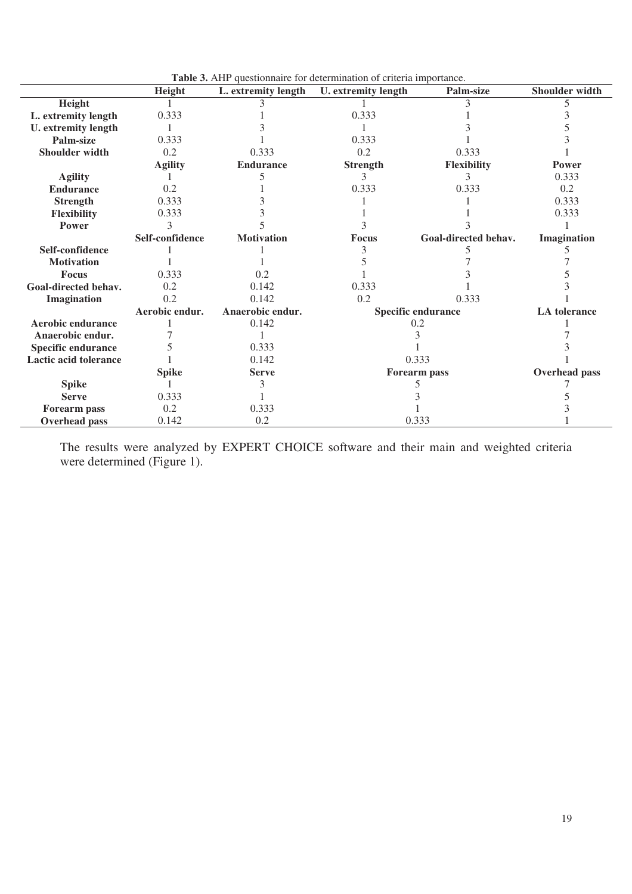|                            | Height          | L. extremity length | <b>Tuble of THIT questionnant for accertimiation</b> of criteria importance.<br>U. extremity length | Palm-size                 | Shoulder width       |  |
|----------------------------|-----------------|---------------------|-----------------------------------------------------------------------------------------------------|---------------------------|----------------------|--|
| Height                     |                 |                     |                                                                                                     |                           |                      |  |
| L. extremity length        | 0.333           |                     | 0.333                                                                                               |                           |                      |  |
| <b>U.</b> extremity length |                 |                     |                                                                                                     |                           |                      |  |
| Palm-size                  | 0.333           |                     | 0.333                                                                                               |                           |                      |  |
| Shoulder width             | 0.2             | 0.333               | 0.2                                                                                                 | 0.333                     |                      |  |
|                            | <b>Agility</b>  | <b>Endurance</b>    | <b>Strength</b>                                                                                     | <b>Flexibility</b>        | <b>Power</b>         |  |
| <b>Agility</b>             |                 |                     |                                                                                                     | 3                         | 0.333                |  |
| <b>Endurance</b>           | 0.2             |                     | 0.333                                                                                               | 0.333                     | 0.2                  |  |
| <b>Strength</b>            | 0.333           |                     |                                                                                                     |                           | 0.333                |  |
| Flexibility                | 0.333           |                     |                                                                                                     |                           | 0.333                |  |
| Power                      |                 |                     |                                                                                                     |                           |                      |  |
|                            | Self-confidence | <b>Motivation</b>   | Focus                                                                                               | Goal-directed behav.      | Imagination          |  |
| Self-confidence            |                 |                     |                                                                                                     |                           |                      |  |
| <b>Motivation</b>          |                 |                     |                                                                                                     |                           |                      |  |
| Focus                      | 0.333           | 0.2                 |                                                                                                     |                           |                      |  |
| Goal-directed behav.       | 0.2             | 0.142               | 0.333                                                                                               |                           |                      |  |
| Imagination                | 0.2             | 0.142               | 0.2                                                                                                 | 0.333                     |                      |  |
|                            | Aerobic endur.  | Anaerobic endur.    |                                                                                                     | <b>Specific endurance</b> | <b>LA</b> tolerance  |  |
| Aerobic endurance          |                 | 0.142               |                                                                                                     | 0.2                       |                      |  |
| Anaerobic endur.           |                 |                     |                                                                                                     |                           |                      |  |
| <b>Specific endurance</b>  |                 | 0.333               |                                                                                                     |                           |                      |  |
| Lactic acid tolerance      |                 | 0.142               | 0.333                                                                                               |                           |                      |  |
|                            | <b>Spike</b>    | <b>Serve</b>        |                                                                                                     | <b>Forearm pass</b>       | <b>Overhead</b> pass |  |
| <b>Spike</b>               |                 |                     |                                                                                                     |                           |                      |  |
| <b>Serve</b>               | 0.333           |                     |                                                                                                     |                           |                      |  |
| Forearm pass               | 0.2             | 0.333               |                                                                                                     |                           |                      |  |
| Overhead pass              | 0.142           | 0.2                 |                                                                                                     | 0.333                     |                      |  |

**Table 3.** AHP questionnaire for determination of criteria importance.

The results were analyzed by EXPERT CHOICE software and their main and weighted criteria were determined (Figure 1).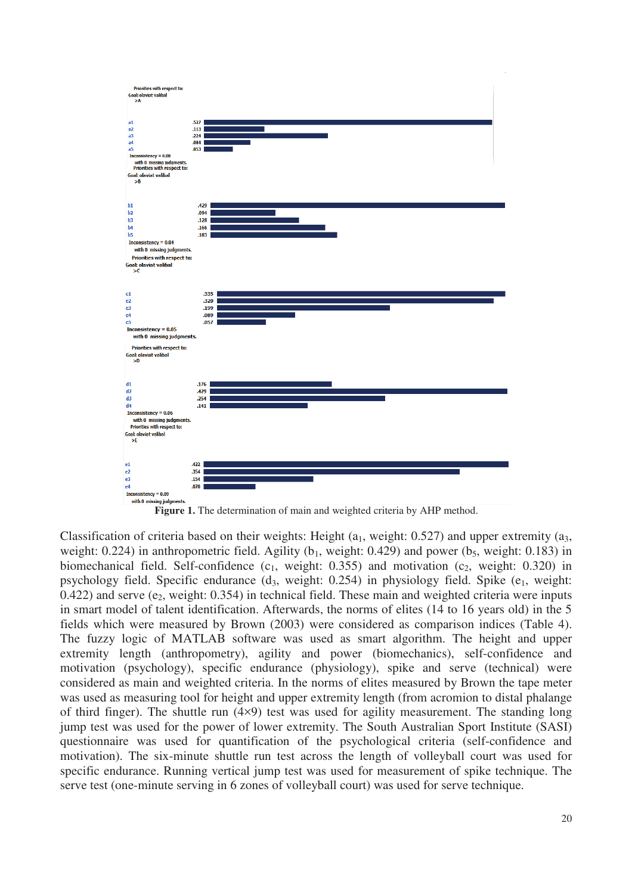



Classification of criteria based on their weights: Height  $(a_1,$  weight: 0.527) and upper extremity  $(a_3,$ weight: 0.224) in anthropometric field. Agility ( $b_1$ , weight: 0.429) and power ( $b_5$ , weight: 0.183) in biomechanical field. Self-confidence  $(c_1,$  weight: 0.355) and motivation  $(c_2,$  weight: 0.320) in psychology field. Specific endurance  $(d_3, \text{ weight: } 0.254)$  in physiology field. Spike  $(e_1, \text{ weight: } 1.254)$  $0.422$ ) and serve (e<sub>2</sub>, weight:  $0.354$ ) in technical field. These main and weighted criteria were inputs in smart model of talent identification. Afterwards, the norms of elites (14 to 16 years old) in the 5 fields which were measured by Brown (2003) were considered as comparison indices (Table 4). The fuzzy logic of MATLAB software was used as smart algorithm. The height and upper extremity length (anthropometry), agility and power (biomechanics), self-confidence and motivation (psychology), specific endurance (physiology), spike and serve (technical) were considered as main and weighted criteria. In the norms of elites measured by Brown the tape meter was used as measuring tool for height and upper extremity length (from acromion to distal phalange of third finger). The shuttle run (4×9) test was used for agility measurement. The standing long jump test was used for the power of lower extremity. The South Australian Sport Institute (SASI) questionnaire was used for quantification of the psychological criteria (self-confidence and motivation). The six-minute shuttle run test across the length of volleyball court was used for specific endurance. Running vertical jump test was used for measurement of spike technique. The serve test (one-minute serving in 6 zones of volleyball court) was used for serve technique.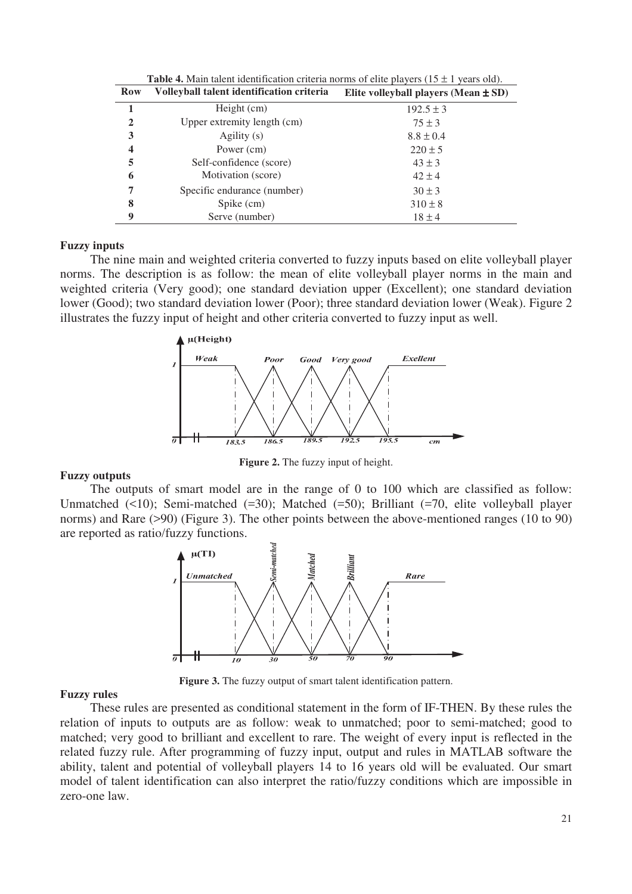| Row          | Volleyball talent identification criteria | Elite volleyball players (Mean $\pm$ SD) |
|--------------|-------------------------------------------|------------------------------------------|
| 1            | Height (cm)                               | $192.5 \pm 3$                            |
| $\mathbf{2}$ | Upper extremity length (cm)               | $75 \pm 3$                               |
| 3            | Agility (s)                               | $8.8 \pm 0.4$                            |
| 4            | Power (cm)                                | $220 \pm 5$                              |
| 5            | Self-confidence (score)                   | $43 \pm 3$                               |
| 6            | Motivation (score)                        | $42 \pm 4$                               |
| 7            | Specific endurance (number)               | $30 \pm 3$                               |
| 8            | Spike (cm)                                | $310 \pm 8$                              |
| 9            | Serve (number)                            | $18 \pm 4$                               |

**Table 4.** Main talent identification criteria norms of elite players ( $15 \pm 1$  years old).

#### **Fuzzy inputs**

The nine main and weighted criteria converted to fuzzy inputs based on elite volleyball player norms. The description is as follow: the mean of elite volleyball player norms in the main and weighted criteria (Very good); one standard deviation upper (Excellent); one standard deviation lower (Good); two standard deviation lower (Poor); three standard deviation lower (Weak). Figure 2 illustrates the fuzzy input of height and other criteria converted to fuzzy input as well.



**Figure 2.** The fuzzy input of height.

#### **Fuzzy outputs**

The outputs of smart model are in the range of 0 to 100 which are classified as follow: Unmatched (<10); Semi-matched (=30); Matched (=50); Brilliant (=70, elite volleyball player norms) and Rare (>90) (Figure 3). The other points between the above-mentioned ranges (10 to 90) are reported as ratio/fuzzy functions.



**Figure 3.** The fuzzy output of smart talent identification pattern.

#### **Fuzzy rules**

These rules are presented as conditional statement in the form of IF-THEN. By these rules the relation of inputs to outputs are as follow: weak to unmatched; poor to semi-matched; good to matched; very good to brilliant and excellent to rare. The weight of every input is reflected in the related fuzzy rule. After programming of fuzzy input, output and rules in MATLAB software the ability, talent and potential of volleyball players 14 to 16 years old will be evaluated. Our smart model of talent identification can also interpret the ratio/fuzzy conditions which are impossible in zero-one law.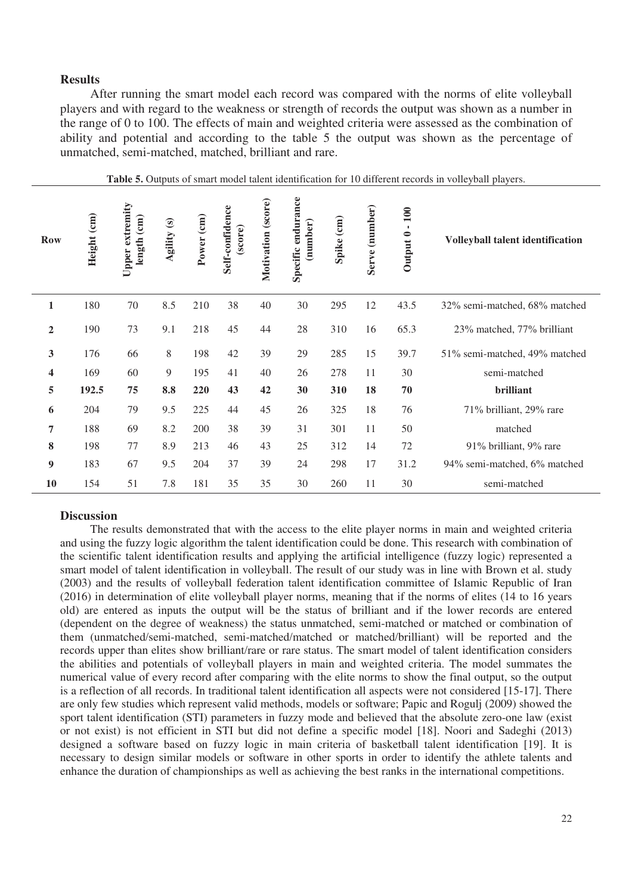#### **Results**

After running the smart model each record was compared with the norms of elite volleyball players and with regard to the weakness or strength of records the output was shown as a number in the range of 0 to 100. The effects of main and weighted criteria were assessed as the combination of ability and potential and according to the table 5 the output was shown as the percentage of unmatched, semi-matched, matched, brilliant and rare.

| <b>Row</b>              | Height (cm) | Upper extremity<br>length (cm) | Agility (s) | Power (cm) | Self-confidence<br>(score) | Motivation (score) | Specific endurance<br>(number) | Spike (cm) | Serve (number) | 100<br>$\mathbf{r}$<br>Output 0 | Volleyball talent identification |
|-------------------------|-------------|--------------------------------|-------------|------------|----------------------------|--------------------|--------------------------------|------------|----------------|---------------------------------|----------------------------------|
| $\mathbf{1}$            | 180         | 70                             | 8.5         | 210        | 38                         | 40                 | 30                             | 295        | 12             | 43.5                            | 32% semi-matched, 68% matched    |
| $\boldsymbol{2}$        | 190         | 73                             | 9.1         | 218        | 45                         | 44                 | 28                             | 310        | 16             | 65.3                            | 23% matched, 77% brilliant       |
| 3                       | 176         | 66                             | 8           | 198        | 42                         | 39                 | 29                             | 285        | 15             | 39.7                            | 51% semi-matched, 49% matched    |
| $\overline{\mathbf{4}}$ | 169         | 60                             | 9           | 195        | 41                         | 40                 | 26                             | 278        | 11             | 30                              | semi-matched                     |
| 5                       | 192.5       | 75                             | 8.8         | 220        | 43                         | 42                 | 30                             | 310        | 18             | 70                              | brilliant                        |
| 6                       | 204         | 79                             | 9.5         | 225        | 44                         | 45                 | 26                             | 325        | 18             | 76                              | 71% brilliant, 29% rare          |
| $\overline{7}$          | 188         | 69                             | 8.2         | 200        | 38                         | 39                 | 31                             | 301        | 11             | 50                              | matched                          |
| 8                       | 198         | 77                             | 8.9         | 213        | 46                         | 43                 | 25                             | 312        | 14             | 72                              | 91% brilliant, 9% rare           |
| 9                       | 183         | 67                             | 9.5         | 204        | 37                         | 39                 | 24                             | 298        | 17             | 31.2                            | 94% semi-matched, 6% matched     |
| 10                      | 154         | 51                             | 7.8         | 181        | 35                         | 35                 | 30                             | 260        | 11             | 30                              | semi-matched                     |

|  |  |  |  |  | Table 5. Outputs of smart model talent identification for 10 different records in volleyball players. |  |  |  |  |  |
|--|--|--|--|--|-------------------------------------------------------------------------------------------------------|--|--|--|--|--|
|--|--|--|--|--|-------------------------------------------------------------------------------------------------------|--|--|--|--|--|

#### **Discussion**

The results demonstrated that with the access to the elite player norms in main and weighted criteria and using the fuzzy logic algorithm the talent identification could be done. This research with combination of the scientific talent identification results and applying the artificial intelligence (fuzzy logic) represented a smart model of talent identification in volleyball. The result of our study was in line with Brown et al. study (2003) and the results of volleyball federation talent identification committee of Islamic Republic of Iran (2016) in determination of elite volleyball player norms, meaning that if the norms of elites (14 to 16 years old) are entered as inputs the output will be the status of brilliant and if the lower records are entered (dependent on the degree of weakness) the status unmatched, semi-matched or matched or combination of them (unmatched/semi-matched, semi-matched/matched or matched/brilliant) will be reported and the records upper than elites show brilliant/rare or rare status. The smart model of talent identification considers the abilities and potentials of volleyball players in main and weighted criteria. The model summates the numerical value of every record after comparing with the elite norms to show the final output, so the output is a reflection of all records. In traditional talent identification all aspects were not considered [15-17]. There are only few studies which represent valid methods, models or software; Papic and Rogulj (2009) showed the sport talent identification (STI) parameters in fuzzy mode and believed that the absolute zero-one law (exist or not exist) is not efficient in STI but did not define a specific model [18]. Noori and Sadeghi (2013) designed a software based on fuzzy logic in main criteria of basketball talent identification [19]. It is necessary to design similar models or software in other sports in order to identify the athlete talents and enhance the duration of championships as well as achieving the best ranks in the international competitions.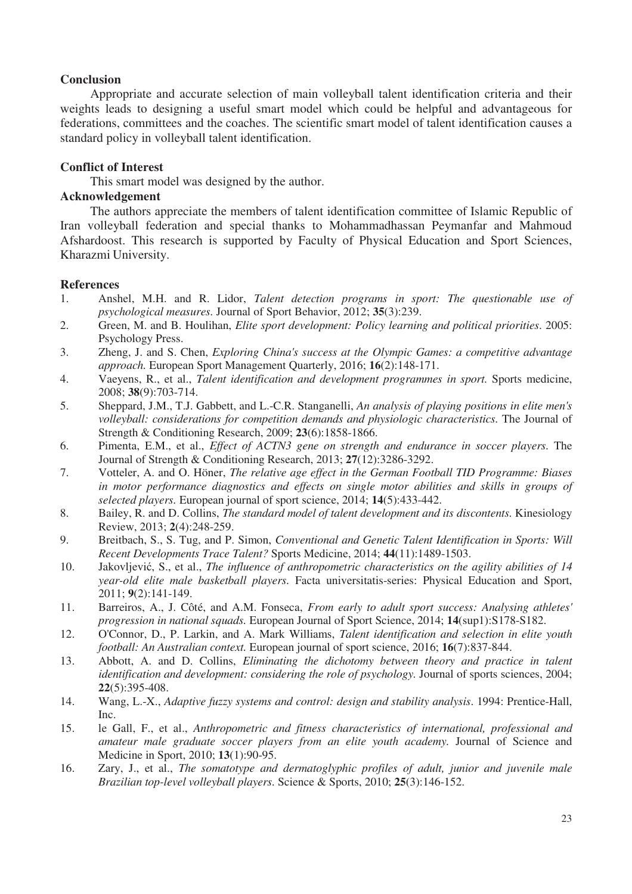## **Conclusion**

Appropriate and accurate selection of main volleyball talent identification criteria and their weights leads to designing a useful smart model which could be helpful and advantageous for federations, committees and the coaches. The scientific smart model of talent identification causes a standard policy in volleyball talent identification.

# **Conflict of Interest**

This smart model was designed by the author.

# **Acknowledgement**

The authors appreciate the members of talent identification committee of Islamic Republic of Iran volleyball federation and special thanks to Mohammadhassan Peymanfar and Mahmoud Afshardoost. This research is supported by Faculty of Physical Education and Sport Sciences, Kharazmi University.

#### **References**

- 1. Anshel, M.H. and R. Lidor, *Talent detection programs in sport: The questionable use of psychological measures.* Journal of Sport Behavior, 2012; **35**(3):239.
- 2. Green, M. and B. Houlihan, *Elite sport development: Policy learning and political priorities*. 2005: Psychology Press.
- 3. Zheng, J. and S. Chen, *Exploring China's success at the Olympic Games: a competitive advantage approach.* European Sport Management Quarterly, 2016; **16**(2):148-171.
- 4. Vaeyens, R., et al., *Talent identification and development programmes in sport.* Sports medicine, 2008; **38**(9):703-714.
- 5. Sheppard, J.M., T.J. Gabbett, and L.-C.R. Stanganelli, *An analysis of playing positions in elite men's volleyball: considerations for competition demands and physiologic characteristics.* The Journal of Strength & Conditioning Research, 2009; **23**(6):1858-1866.
- 6. Pimenta, E.M., et al., *Effect of ACTN3 gene on strength and endurance in soccer players.* The Journal of Strength & Conditioning Research, 2013; **27**(12):3286-3292.
- 7. Votteler, A. and O. Höner, *The relative age effect in the German Football TID Programme: Biases in motor performance diagnostics and effects on single motor abilities and skills in groups of selected players.* European journal of sport science, 2014; **14**(5):433-442.
- 8. Bailey, R. and D. Collins, *The standard model of talent development and its discontents.* Kinesiology Review, 2013; **2**(4):248-259.
- 9. Breitbach, S., S. Tug, and P. Simon, *Conventional and Genetic Talent Identification in Sports: Will Recent Developments Trace Talent?* Sports Medicine, 2014; **44**(11):1489-1503.
- 10. Jakovljević, S., et al., *The influence of anthropometric characteristics on the agility abilities of 14 year-old elite male basketball players.* Facta universitatis-series: Physical Education and Sport, 2011; **9**(2):141-149.
- 11. Barreiros, A., J. Côté, and A.M. Fonseca, *From early to adult sport success: Analysing athletes' progression in national squads.* European Journal of Sport Science, 2014; **14**(sup1):S178-S182.
- 12. O'Connor, D., P. Larkin, and A. Mark Williams, *Talent identification and selection in elite youth football: An Australian context.* European journal of sport science, 2016; **16**(7):837-844.
- 13. Abbott, A. and D. Collins, *Eliminating the dichotomy between theory and practice in talent identification and development: considering the role of psychology.* Journal of sports sciences, 2004; **22**(5):395-408.
- 14. Wang, L.-X., *Adaptive fuzzy systems and control: design and stability analysis*. 1994: Prentice-Hall, Inc.
- 15. le Gall, F., et al., *Anthropometric and fitness characteristics of international, professional and amateur male graduate soccer players from an elite youth academy.* Journal of Science and Medicine in Sport, 2010; **13**(1):90-95.
- 16. Zary, J., et al., *The somatotype and dermatoglyphic profiles of adult, junior and juvenile male Brazilian top-level volleyball players.* Science & Sports, 2010; **25**(3):146-152.